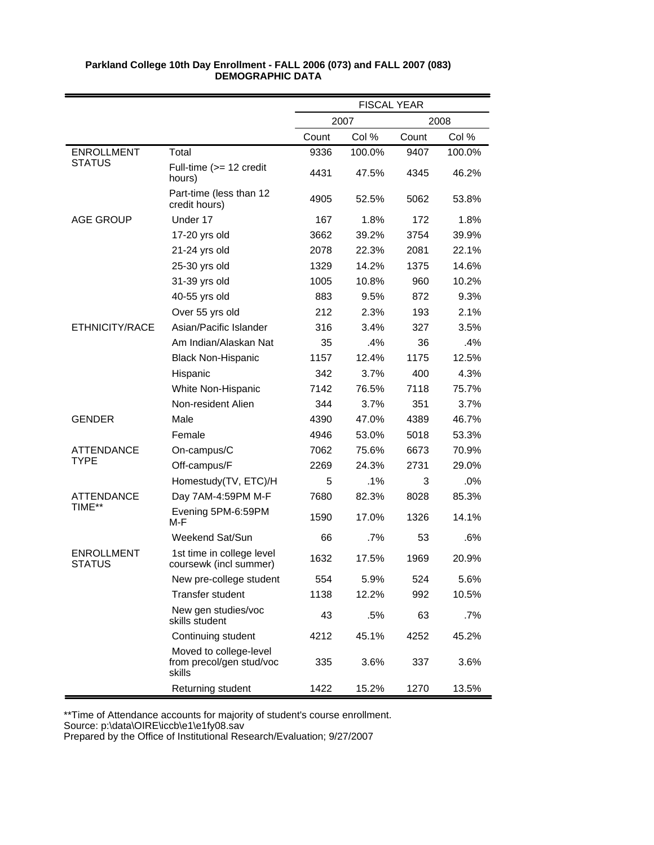|                                    |                                                              | <b>FISCAL YEAR</b> |        |       |        |
|------------------------------------|--------------------------------------------------------------|--------------------|--------|-------|--------|
|                                    |                                                              |                    | 2007   |       | 2008   |
|                                    |                                                              | Count              | Col %  | Count | Col %  |
| <b>ENROLLMENT</b>                  | Total                                                        | 9336               | 100.0% | 9407  | 100.0% |
| <b>STATUS</b>                      | Full-time $(>= 12$ credit<br>hours)                          | 4431               | 47.5%  | 4345  | 46.2%  |
|                                    | Part-time (less than 12<br>credit hours)                     | 4905               | 52.5%  | 5062  | 53.8%  |
| <b>AGE GROUP</b>                   | Under 17                                                     | 167                | 1.8%   | 172   | 1.8%   |
|                                    | 17-20 yrs old                                                | 3662               | 39.2%  | 3754  | 39.9%  |
|                                    | 21-24 yrs old                                                | 2078               | 22.3%  | 2081  | 22.1%  |
|                                    | 25-30 yrs old                                                | 1329               | 14.2%  | 1375  | 14.6%  |
|                                    | 31-39 yrs old                                                | 1005               | 10.8%  | 960   | 10.2%  |
|                                    | 40-55 yrs old                                                | 883                | 9.5%   | 872   | 9.3%   |
|                                    | Over 55 yrs old                                              | 212                | 2.3%   | 193   | 2.1%   |
| ETHNICITY/RACE                     | Asian/Pacific Islander                                       | 316                | 3.4%   | 327   | 3.5%   |
|                                    | Am Indian/Alaskan Nat                                        | 35                 | .4%    | 36    | .4%    |
|                                    | <b>Black Non-Hispanic</b>                                    | 1157               | 12.4%  | 1175  | 12.5%  |
|                                    | Hispanic                                                     | 342                | 3.7%   | 400   | 4.3%   |
|                                    | White Non-Hispanic                                           | 7142               | 76.5%  | 7118  | 75.7%  |
|                                    | Non-resident Alien                                           | 344                | 3.7%   | 351   | 3.7%   |
| <b>GENDER</b>                      | Male                                                         | 4390               | 47.0%  | 4389  | 46.7%  |
|                                    | Female                                                       | 4946               | 53.0%  | 5018  | 53.3%  |
| <b>ATTENDANCE</b>                  | On-campus/C                                                  | 7062               | 75.6%  | 6673  | 70.9%  |
| <b>TYPE</b>                        | Off-campus/F                                                 | 2269               | 24.3%  | 2731  | 29.0%  |
|                                    | Homestudy(TV, ETC)/H                                         | 5                  | $.1\%$ | 3     | .0%    |
| ATTENDANCE                         | Day 7AM-4:59PM M-F                                           | 7680               | 82.3%  | 8028  | 85.3%  |
| TIME**                             | Evening 5PM-6:59PM<br>M-F                                    | 1590               | 17.0%  | 1326  | 14.1%  |
|                                    | Weekend Sat/Sun                                              | 66                 | $.7\%$ | 53    | .6%    |
| <b>ENROLLMENT</b><br><b>STATUS</b> | 1st time in college level<br>coursewk (incl summer)          | 1632               | 17.5%  | 1969  | 20.9%  |
|                                    | New pre-college student                                      | 554                | 5.9%   | 524   | 5.6%   |
|                                    | <b>Transfer student</b>                                      | 1138               | 12.2%  | 992   | 10.5%  |
|                                    | New gen studies/voc<br>skills student                        | 43                 | .5%    | 63    | .7%    |
|                                    | Continuing student                                           | 4212               | 45.1%  | 4252  | 45.2%  |
|                                    | Moved to college-level<br>from precol/gen stud/voc<br>skills | 335                | 3.6%   | 337   | 3.6%   |
|                                    | Returning student                                            | 1422               | 15.2%  | 1270  | 13.5%  |

\*\*Time of Attendance accounts for majority of student's course enrollment.

Source: p:\data\OIRE\iccb\e1\e1fy08.sav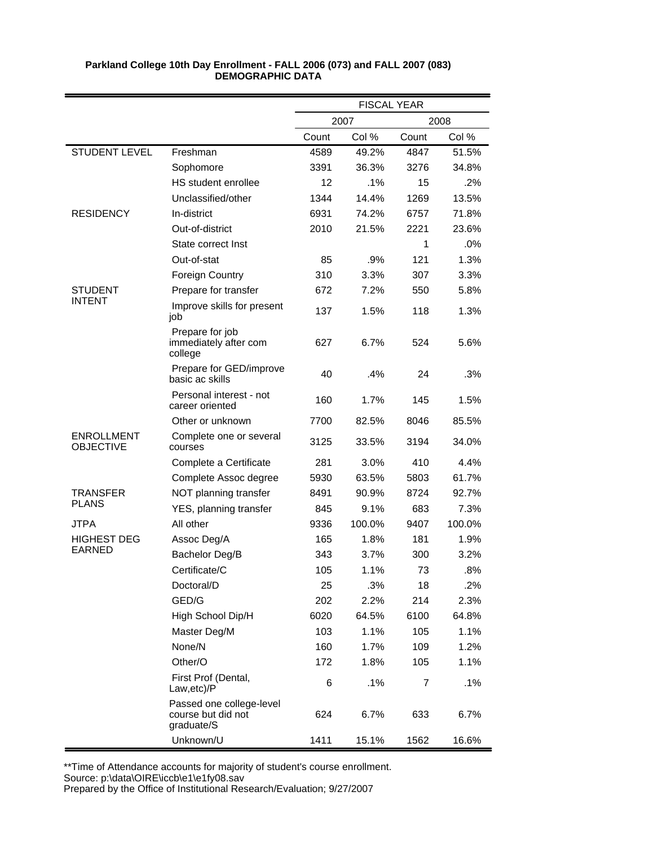|                                       |                                                              | <b>FISCAL YEAR</b> |        |       |        |
|---------------------------------------|--------------------------------------------------------------|--------------------|--------|-------|--------|
|                                       |                                                              |                    | 2007   |       | 2008   |
|                                       |                                                              | Count              | Col %  | Count | Col %  |
| <b>STUDENT LEVEL</b>                  | Freshman                                                     | 4589               | 49.2%  | 4847  | 51.5%  |
|                                       | Sophomore                                                    | 3391               | 36.3%  | 3276  | 34.8%  |
|                                       | HS student enrollee                                          | 12                 | $.1\%$ | 15    | .2%    |
|                                       | Unclassified/other                                           | 1344               | 14.4%  | 1269  | 13.5%  |
| <b>RESIDENCY</b>                      | In-district                                                  | 6931               | 74.2%  | 6757  | 71.8%  |
|                                       | Out-of-district                                              | 2010               | 21.5%  | 2221  | 23.6%  |
|                                       | State correct Inst                                           |                    |        | 1     | .0%    |
|                                       | Out-of-stat                                                  | 85                 | .9%    | 121   | 1.3%   |
|                                       | <b>Foreign Country</b>                                       | 310                | 3.3%   | 307   | 3.3%   |
| STUDENT                               | Prepare for transfer                                         | 672                | 7.2%   | 550   | 5.8%   |
| <b>INTENT</b>                         | Improve skills for present<br>job                            | 137                | 1.5%   | 118   | 1.3%   |
|                                       | Prepare for job<br>immediately after com<br>college          | 627                | 6.7%   | 524   | 5.6%   |
|                                       | Prepare for GED/improve<br>basic ac skills                   | 40                 | .4%    | 24    | .3%    |
|                                       | Personal interest - not<br>career oriented                   | 160                | 1.7%   | 145   | 1.5%   |
|                                       | Other or unknown                                             | 7700               | 82.5%  | 8046  | 85.5%  |
| <b>ENROLLMENT</b><br><b>OBJECTIVE</b> | Complete one or several<br>courses                           | 3125               | 33.5%  | 3194  | 34.0%  |
|                                       | Complete a Certificate                                       | 281                | 3.0%   | 410   | 4.4%   |
|                                       | Complete Assoc degree                                        | 5930               | 63.5%  | 5803  | 61.7%  |
| TRANSFER                              | NOT planning transfer                                        | 8491               | 90.9%  | 8724  | 92.7%  |
| <b>PLANS</b>                          | YES, planning transfer                                       | 845                | 9.1%   | 683   | 7.3%   |
| <b>JTPA</b>                           | All other                                                    | 9336               | 100.0% | 9407  | 100.0% |
| <b>HIGHEST DEG</b>                    | Assoc Deg/A                                                  | 165                | 1.8%   | 181   | 1.9%   |
| <b>EARNED</b>                         | Bachelor Deg/B                                               | 343                | 3.7%   | 300   | 3.2%   |
|                                       | Certificate/C                                                | 105                | 1.1%   | 73    | .8%    |
|                                       | Doctoral/D                                                   | 25                 | .3%    | 18    | .2%    |
|                                       | GED/G                                                        | 202                | 2.2%   | 214   | 2.3%   |
|                                       | High School Dip/H                                            | 6020               | 64.5%  | 6100  | 64.8%  |
|                                       | Master Deg/M                                                 | 103                | 1.1%   | 105   | 1.1%   |
|                                       | None/N                                                       | 160                | 1.7%   | 109   | 1.2%   |
|                                       | Other/O                                                      | 172                | 1.8%   | 105   | 1.1%   |
|                                       | First Prof (Dental,<br>Law, etc)/P                           | 6                  | .1%    | 7     | .1%    |
|                                       | Passed one college-level<br>course but did not<br>graduate/S | 624                | 6.7%   | 633   | 6.7%   |
|                                       | Unknown/U                                                    | 1411               | 15.1%  | 1562  | 16.6%  |

\*\*Time of Attendance accounts for majority of student's course enrollment.

Source: p:\data\OIRE\iccb\e1\e1fy08.sav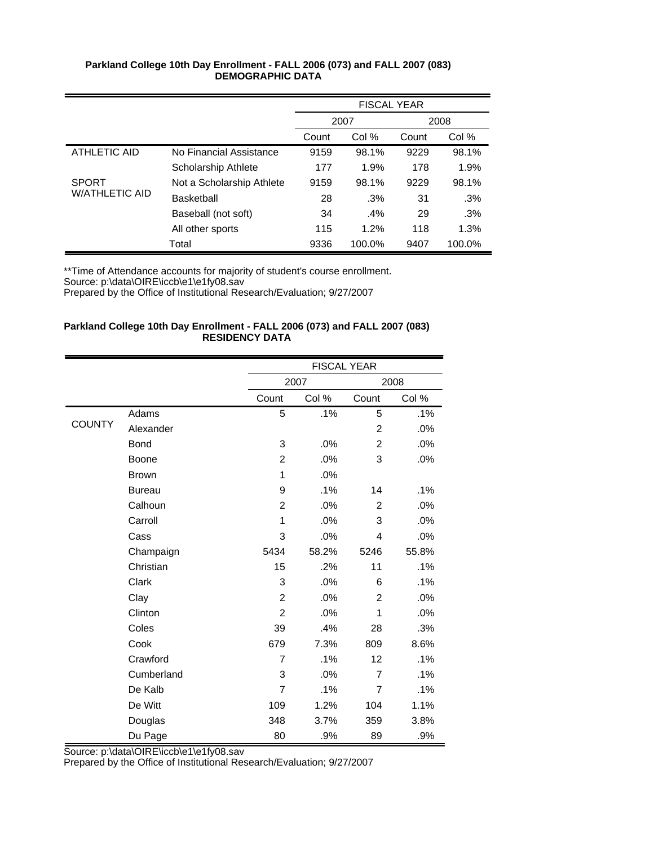|                       |                           | <b>FISCAL YEAR</b> |        |       |        |
|-----------------------|---------------------------|--------------------|--------|-------|--------|
|                       |                           | 2007               |        |       | 2008   |
|                       |                           | Count              | Col %  | Count | Col %  |
| ATHLETIC AID          | No Financial Assistance   | 9159               | 98.1%  | 9229  | 98.1%  |
|                       | Scholarship Athlete       | 177                | 1.9%   | 178   | 1.9%   |
| <b>SPORT</b>          | Not a Scholarship Athlete | 9159               | 98.1%  | 9229  | 98.1%  |
| <b>W/ATHLETIC AID</b> | <b>Basketball</b>         | 28                 | .3%    | 31    | .3%    |
|                       | Baseball (not soft)       | 34                 | .4%    | 29    | .3%    |
|                       | All other sports          | 115                | 1.2%   | 118   | 1.3%   |
|                       | Total                     | 9336               | 100.0% | 9407  | 100.0% |

\*\*Time of Attendance accounts for majority of student's course enrollment.

Source: p:\data\OIRE\iccb\e1\e1fy08.sav

Prepared by the Office of Institutional Research/Evaluation; 9/27/2007

## **Parkland College 10th Day Enrollment - FALL 2006 (073) and FALL 2007 (083) RESIDENCY DATA**

|               |               |                | <b>FISCAL YEAR</b> |                |       |
|---------------|---------------|----------------|--------------------|----------------|-------|
|               |               |                | 2007               |                | 2008  |
|               |               | Count          | Col %              | Count          | Col % |
|               | Adams         | 5              | .1%                | 5              | .1%   |
| <b>COUNTY</b> | Alexander     |                |                    | $\overline{c}$ | .0%   |
|               | <b>Bond</b>   | 3              | .0%                | $\overline{c}$ | .0%   |
|               | Boone         | $\overline{2}$ | .0%                | 3              | .0%   |
|               | <b>Brown</b>  | 1              | .0%                |                |       |
|               | <b>Bureau</b> | 9              | .1%                | 14             | .1%   |
|               | Calhoun       | $\overline{2}$ | .0%                | $\overline{2}$ | .0%   |
|               | Carroll       | 1              | .0%                | 3              | .0%   |
|               | Cass          | 3              | .0%                | 4              | .0%   |
|               | Champaign     | 5434           | 58.2%              | 5246           | 55.8% |
|               | Christian     | 15             | .2%                | 11             | .1%   |
|               | Clark         | 3              | .0%                | 6              | .1%   |
|               | Clay          | $\overline{2}$ | .0%                | $\overline{2}$ | .0%   |
|               | Clinton       | $\overline{c}$ | .0%                | 1              | .0%   |
|               | Coles         | 39             | .4%                | 28             | .3%   |
|               | Cook          | 679            | 7.3%               | 809            | 8.6%  |
|               | Crawford      | 7              | .1%                | 12             | .1%   |
|               | Cumberland    | 3              | .0%                | 7              | .1%   |
|               | De Kalb       | 7              | .1%                | 7              | .1%   |
|               | De Witt       | 109            | 1.2%               | 104            | 1.1%  |
|               | Douglas       | 348            | 3.7%               | 359            | 3.8%  |
|               | Du Page       | 80             | .9%                | 89             | .9%   |

Source: p:\data\OIRE\iccb\e1\e1fy08.sav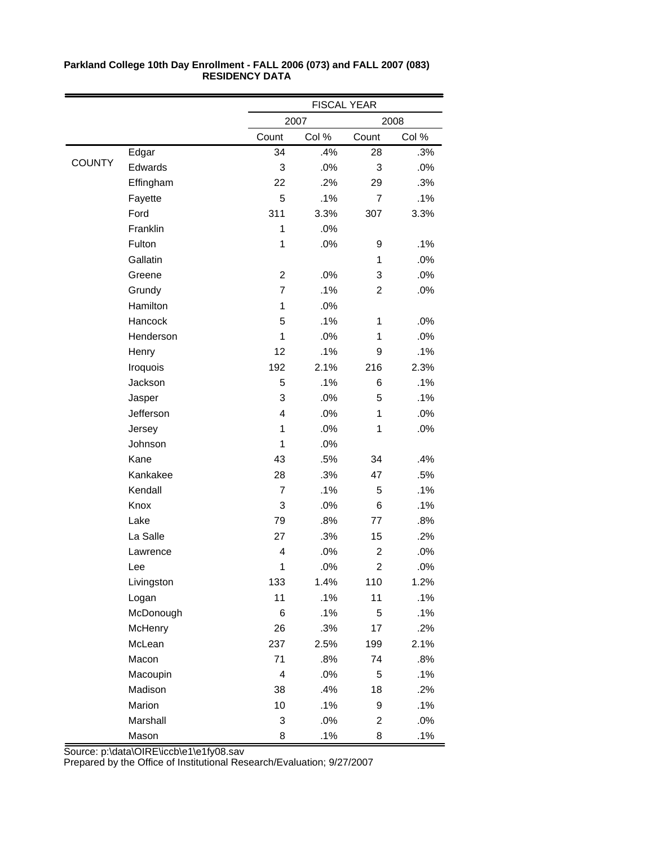|               |            |                | <b>FISCAL YEAR</b> |                         |        |  |
|---------------|------------|----------------|--------------------|-------------------------|--------|--|
|               |            |                | 2007               |                         | 2008   |  |
|               |            | Count          | Col %              | Count                   | Col %  |  |
|               | Edgar      | 34             | .4%                | 28                      | .3%    |  |
| <b>COUNTY</b> | Edwards    | 3              | .0%                | 3                       | .0%    |  |
|               | Effingham  | 22             | .2%                | 29                      | .3%    |  |
|               | Fayette    | 5              | .1%                | $\overline{7}$          | .1%    |  |
|               | Ford       | 311            | 3.3%               | 307                     | 3.3%   |  |
|               | Franklin   | 1              | .0%                |                         |        |  |
|               | Fulton     | $\mathbf 1$    | .0%                | 9                       | .1%    |  |
|               | Gallatin   |                |                    | 1                       | .0%    |  |
|               | Greene     | $\overline{c}$ | .0%                | 3                       | .0%    |  |
|               | Grundy     | $\overline{7}$ | .1%                | $\overline{2}$          | .0%    |  |
|               | Hamilton   | 1              | .0%                |                         |        |  |
|               | Hancock    | 5              | .1%                | 1                       | .0%    |  |
|               | Henderson  | 1              | .0%                | 1                       | .0%    |  |
|               | Henry      | 12             | .1%                | 9                       | .1%    |  |
|               | Iroquois   | 192            | 2.1%               | 216                     | 2.3%   |  |
|               | Jackson    | 5              | .1%                | 6                       | .1%    |  |
|               | Jasper     | 3              | .0%                | 5                       | .1%    |  |
|               | Jefferson  | 4              | .0%                | 1                       | .0%    |  |
|               | Jersey     | 1              | .0%                | 1                       | .0%    |  |
|               | Johnson    | 1              | .0%                |                         |        |  |
|               | Kane       | 43             | .5%                | 34                      | .4%    |  |
|               | Kankakee   | 28             | .3%                | 47                      | .5%    |  |
|               | Kendall    | $\overline{7}$ | .1%                | 5                       | .1%    |  |
|               | Knox       | 3              | .0%                | 6                       | .1%    |  |
|               | Lake       | 79             | .8%                | 77                      | .8%    |  |
|               | La Salle   | 27             | .3%                | 15                      | .2%    |  |
|               | Lawrence   | 4              | .0%                | $\overline{\mathbf{c}}$ | .0%    |  |
|               | Lee        | 1              | $.0\%$             | $\overline{2}$          | $.0\%$ |  |
|               | Livingston | 133            | 1.4%               | 110                     | 1.2%   |  |
|               | Logan      | 11             | .1%                | 11                      | .1%    |  |
|               | McDonough  | 6              | .1%                | 5                       | .1%    |  |
|               | McHenry    | 26             | .3%                | 17                      | .2%    |  |
|               | McLean     | 237            | 2.5%               | 199                     | 2.1%   |  |
|               | Macon      | 71             | .8%                | 74                      | .8%    |  |
|               | Macoupin   | $\overline{4}$ | .0%                | 5                       | .1%    |  |
|               | Madison    | 38             | .4%                | 18                      | .2%    |  |
|               | Marion     | 10             | .1%                | 9                       | .1%    |  |
|               | Marshall   | 3              | .0%                | $\overline{c}$          | .0%    |  |
|               | Mason      | 8              | .1%                | 8                       | .1%    |  |

Source: p:\data\OIRE\iccb\e1\e1fy08.sav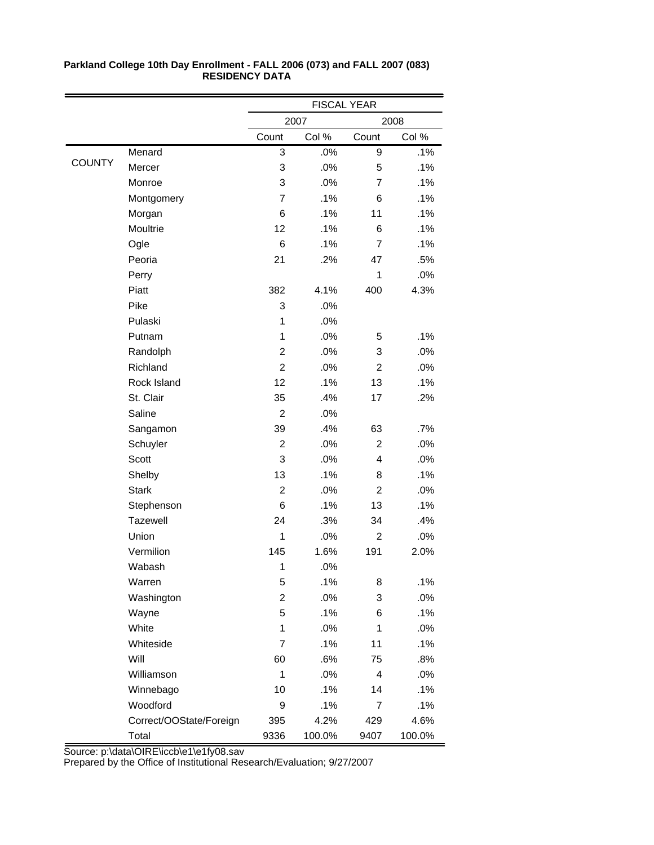|               |                         | <b>FISCAL YEAR</b> |        |                |        |
|---------------|-------------------------|--------------------|--------|----------------|--------|
|               |                         |                    | 2007   |                | 2008   |
|               |                         | Count              | Col %  | Count          | Col %  |
|               | Menard                  | 3                  | .0%    | 9              | .1%    |
| <b>COUNTY</b> | Mercer                  | 3                  | .0%    | 5              | .1%    |
|               | Monroe                  | 3                  | .0%    | 7              | .1%    |
|               | Montgomery              | $\overline{7}$     | .1%    | 6              | .1%    |
|               | Morgan                  | 6                  | .1%    | 11             | .1%    |
|               | Moultrie                | 12                 | .1%    | 6              | .1%    |
|               | Ogle                    | 6                  | .1%    | $\overline{7}$ | .1%    |
|               | Peoria                  | 21                 | .2%    | 47             | .5%    |
|               | Perry                   |                    |        | 1              | .0%    |
|               | Piatt                   | 382                | 4.1%   | 400            | 4.3%   |
|               | Pike                    | 3                  | .0%    |                |        |
|               | Pulaski                 | 1                  | .0%    |                |        |
|               | Putnam                  | 1                  | .0%    | 5              | .1%    |
|               | Randolph                | $\overline{2}$     | .0%    | 3              | .0%    |
|               | Richland                | $\overline{c}$     | .0%    | $\overline{c}$ | .0%    |
|               | Rock Island             | 12                 | .1%    | 13             | .1%    |
|               | St. Clair               | 35                 | .4%    | 17             | .2%    |
|               | Saline                  | $\overline{2}$     | .0%    |                |        |
|               | Sangamon                | 39                 | .4%    | 63             | $.7\%$ |
|               | Schuyler                | $\overline{c}$     | .0%    | $\overline{2}$ | .0%    |
|               | Scott                   | 3                  | .0%    | 4              | .0%    |
|               | Shelby                  | 13                 | .1%    | 8              | .1%    |
|               | <b>Stark</b>            | $\overline{2}$     | .0%    | $\overline{2}$ | .0%    |
|               | Stephenson              | 6                  | .1%    | 13             | .1%    |
|               | Tazewell                | 24                 | .3%    | 34             | .4%    |
|               | Union                   | 1                  | .0%    | $\overline{c}$ | .0%    |
|               | Vermilion               | 145                | 1.6%   | 191            | 2.0%   |
|               | Wabash                  | 1                  | .0%    |                |        |
|               | Warren                  | 5                  | .1%    | 8              | .1%    |
|               | Washington              | $\overline{c}$     | .0%    | 3              | .0%    |
|               | Wayne                   | 5                  | .1%    | 6              | .1%    |
|               | White                   | 1                  | .0%    | 1              | .0%    |
|               | Whiteside               | $\overline{7}$     | .1%    | 11             | .1%    |
|               | Will                    | 60                 | .6%    | 75             | .8%    |
|               | Williamson              | 1                  | .0%    | 4              | .0%    |
|               | Winnebago               | 10                 | .1%    | 14             | .1%    |
|               | Woodford                | 9                  | .1%    | 7              | .1%    |
|               | Correct/OOState/Foreign | 395                | 4.2%   | 429            | 4.6%   |
|               | Total                   | 9336               | 100.0% | 9407           | 100.0% |

Source: p:\data\OIRE\iccb\e1\e1fy08.sav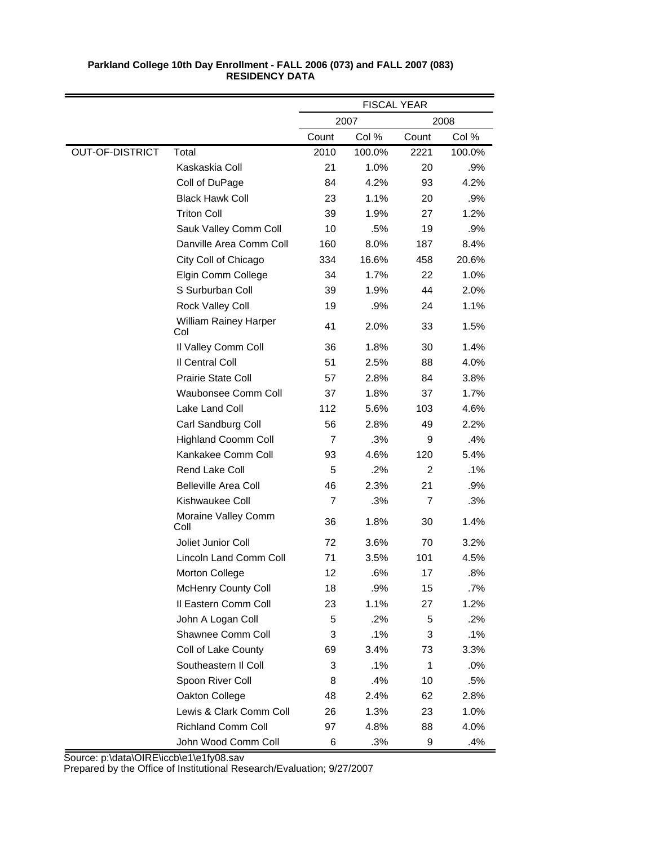|                        |                                     | <b>FISCAL YEAR</b> |        |                |        |
|------------------------|-------------------------------------|--------------------|--------|----------------|--------|
|                        |                                     |                    | 2007   |                | 2008   |
|                        |                                     | Count              | Col %  | Count          | Col %  |
| <b>OUT-OF-DISTRICT</b> | Total                               | 2010               | 100.0% | 2221           | 100.0% |
|                        | Kaskaskia Coll                      | 21                 | 1.0%   | 20             | .9%    |
|                        | Coll of DuPage                      | 84                 | 4.2%   | 93             | 4.2%   |
|                        | <b>Black Hawk Coll</b>              | 23                 | 1.1%   | 20             | .9%    |
|                        | <b>Triton Coll</b>                  | 39                 | 1.9%   | 27             | 1.2%   |
|                        | Sauk Valley Comm Coll               | 10                 | .5%    | 19             | .9%    |
|                        | Danville Area Comm Coll             | 160                | 8.0%   | 187            | 8.4%   |
|                        | City Coll of Chicago                | 334                | 16.6%  | 458            | 20.6%  |
|                        | Elgin Comm College                  | 34                 | 1.7%   | 22             | 1.0%   |
|                        | S Surburban Coll                    | 39                 | 1.9%   | 44             | 2.0%   |
|                        | Rock Valley Coll                    | 19                 | .9%    | 24             | 1.1%   |
|                        | <b>William Rainey Harper</b><br>Col | 41                 | 2.0%   | 33             | 1.5%   |
|                        | Il Valley Comm Coll                 | 36                 | 1.8%   | 30             | 1.4%   |
|                        | Il Central Coll                     | 51                 | 2.5%   | 88             | 4.0%   |
|                        | <b>Prairie State Coll</b>           | 57                 | 2.8%   | 84             | 3.8%   |
|                        | Waubonsee Comm Coll                 | 37                 | 1.8%   | 37             | 1.7%   |
|                        | Lake Land Coll                      | 112                | 5.6%   | 103            | 4.6%   |
|                        | Carl Sandburg Coll                  | 56                 | 2.8%   | 49             | 2.2%   |
|                        | <b>Highland Coomm Coll</b>          | $\overline{7}$     | .3%    | 9              | .4%    |
|                        | Kankakee Comm Coll                  | 93                 | 4.6%   | 120            | 5.4%   |
|                        | Rend Lake Coll                      | 5                  | .2%    | $\overline{2}$ | .1%    |
|                        | <b>Belleville Area Coll</b>         | 46                 | 2.3%   | 21             | .9%    |
|                        | Kishwaukee Coll                     | $\overline{7}$     | .3%    | 7              | .3%    |
|                        | Moraine Valley Comm<br>Coll         | 36                 | 1.8%   | 30             | 1.4%   |
|                        | Joliet Junior Coll                  | 72                 | 3.6%   | 70             | 3.2%   |
|                        | Lincoln Land Comm Coll              | 71                 | 3.5%   | 101            | 4.5%   |
|                        | <b>Morton College</b>               | 12                 | .6%    | 17             | .8%    |
|                        | <b>McHenry County Coll</b>          | 18                 | .9%    | 15             | .7%    |
|                        | Il Eastern Comm Coll                | 23                 | 1.1%   | 27             | 1.2%   |
|                        | John A Logan Coll                   | 5                  | .2%    | 5              | .2%    |
|                        | Shawnee Comm Coll                   | 3                  | .1%    | 3              | .1%    |
|                        | Coll of Lake County                 | 69                 | 3.4%   | 73             | 3.3%   |
|                        | Southeastern II Coll                | 3                  | .1%    | 1              | .0%    |
|                        | Spoon River Coll                    | 8                  | .4%    | 10             | .5%    |
|                        | Oakton College                      | 48                 | 2.4%   | 62             | 2.8%   |
|                        | Lewis & Clark Comm Coll             | 26                 | 1.3%   | 23             | 1.0%   |
|                        | <b>Richland Comm Coll</b>           | 97                 | 4.8%   | 88             | 4.0%   |
|                        | John Wood Comm Coll                 | 6                  | .3%    | 9              | .4%    |

Source: p:\data\OIRE\iccb\e1\e1fy08.sav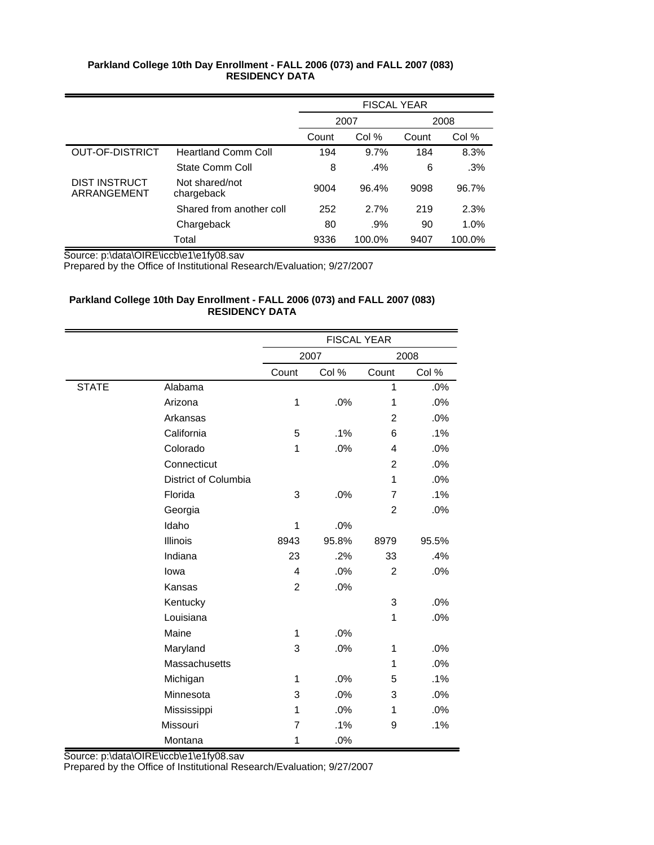|                              |                              | <b>FISCAL YEAR</b> |        |       |        |
|------------------------------|------------------------------|--------------------|--------|-------|--------|
|                              |                              |                    | 2007   |       | 2008   |
|                              |                              | Count              | Col %  | Count | Col %  |
| <b>OUT-OF-DISTRICT</b>       | <b>Heartland Comm Coll</b>   | 194                | 9.7%   | 184   | 8.3%   |
|                              | State Comm Coll              | 8                  | $.4\%$ | 6     | .3%    |
| DIST INSTRUCT<br>ARRANGEMENT | Not shared/not<br>chargeback | 9004               | 96.4%  | 9098  | 96.7%  |
|                              | Shared from another coll     | 252                | 2.7%   | 219   | 2.3%   |
|                              | Chargeback                   | 80                 | .9%    | 90    | 1.0%   |
|                              | Total                        | 9336               | 100.0% | 9407  | 100.0% |

Source: p:\data\OIRE\iccb\e1\e1fy08.sav

Prepared by the Office of Institutional Research/Evaluation; 9/27/2007

## **Parkland College 10th Day Enrollment - FALL 2006 (073) and FALL 2007 (083) RESIDENCY DATA**

|              |                      |                | <b>FISCAL YEAR</b> |                |       |
|--------------|----------------------|----------------|--------------------|----------------|-------|
|              |                      |                | 2007               |                | 2008  |
|              |                      | Count          | Col %              | Count          | Col % |
| <b>STATE</b> | Alabama              |                |                    | $\mathbf{1}$   | .0%   |
|              | Arizona              | $\mathbf 1$    | .0%                | $\mathbf{1}$   | .0%   |
|              | Arkansas             |                |                    | $\overline{2}$ | .0%   |
|              | California           | 5              | .1%                | 6              | .1%   |
|              | Colorado             | 1              | .0%                | 4              | .0%   |
|              | Connecticut          |                |                    | $\overline{2}$ | .0%   |
|              | District of Columbia |                |                    | $\mathbf{1}$   | .0%   |
|              | Florida              | 3              | .0%                | 7              | .1%   |
|              | Georgia              |                |                    | $\overline{2}$ | .0%   |
|              | Idaho                | 1              | .0%                |                |       |
|              | Illinois             | 8943           | 95.8%              | 8979           | 95.5% |
|              | Indiana              | 23             | .2%                | 33             | .4%   |
|              | lowa                 | 4              | .0%                | $\overline{c}$ | .0%   |
|              | Kansas               | $\overline{2}$ | .0%                |                |       |
|              | Kentucky             |                |                    | 3              | .0%   |
|              | Louisiana            |                |                    | $\mathbf{1}$   | .0%   |
|              | Maine                | 1              | .0%                |                |       |
|              | Maryland             | 3              | .0%                | 1              | .0%   |
|              | Massachusetts        |                |                    | 1              | .0%   |
|              | Michigan             | 1              | .0%                | 5              | .1%   |
|              | Minnesota            | 3              | .0%                | 3              | .0%   |
|              | Mississippi          | 1              | .0%                | $\mathbf{1}$   | .0%   |
|              | Missouri             | $\overline{7}$ | .1%                | 9              | .1%   |
|              | Montana              | 1              | .0%                |                |       |

Source: p:\data\OIRE\iccb\e1\e1fy08.sav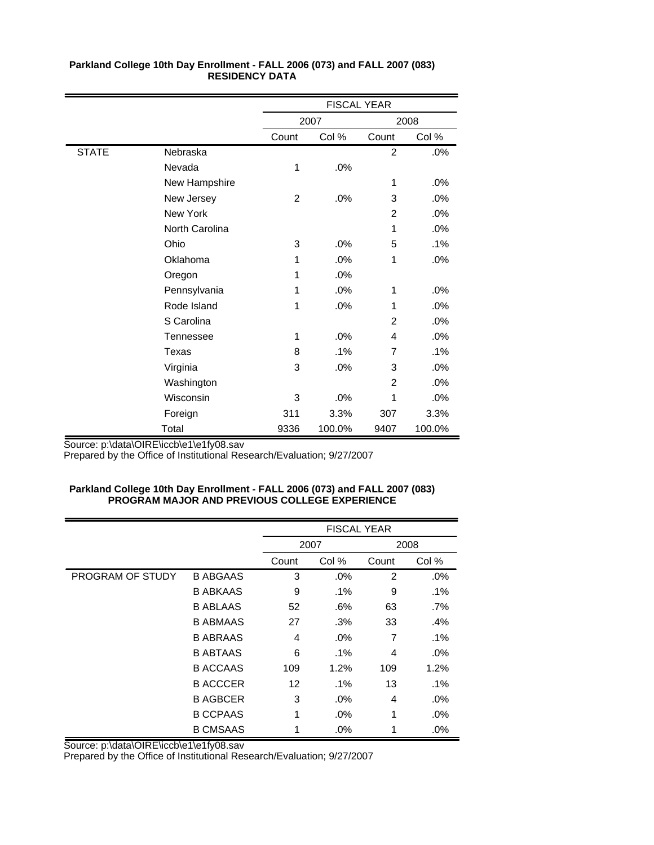|              |                  |       | <b>FISCAL YEAR</b> |                |        |  |
|--------------|------------------|-------|--------------------|----------------|--------|--|
|              |                  |       | 2007               |                | 2008   |  |
|              |                  | Count | Col %              | Count          | Col %  |  |
| <b>STATE</b> | Nebraska         |       |                    | $\overline{2}$ | .0%    |  |
|              | Nevada           | 1     | .0%                |                |        |  |
|              | New Hampshire    |       |                    | 1              | .0%    |  |
|              | New Jersey       | 2     | .0%                | 3              | .0%    |  |
|              | New York         |       |                    | $\overline{2}$ | .0%    |  |
|              | North Carolina   |       |                    | 1              | .0%    |  |
|              | Ohio             | 3     | .0%                | 5              | .1%    |  |
|              | Oklahoma         | 1     | .0%                | 1              | $.0\%$ |  |
|              | Oregon           | 1     | .0%                |                |        |  |
|              | Pennsylvania     | 1     | .0%                | 1              | .0%    |  |
|              | Rode Island      | 1     | .0%                | 1              | .0%    |  |
|              | S Carolina       |       |                    | $\overline{2}$ | .0%    |  |
|              | <b>Tennessee</b> | 1     | .0%                | 4              | .0%    |  |
|              | Texas            | 8     | .1%                | 7              | .1%    |  |
|              | Virginia         | 3     | .0%                | 3              | .0%    |  |
|              | Washington       |       |                    | $\overline{2}$ | .0%    |  |
|              | Wisconsin        | 3     | .0%                | 1              | .0%    |  |
|              | Foreign          | 311   | 3.3%               | 307            | 3.3%   |  |
|              | Total            | 9336  | 100.0%             | 9407           | 100.0% |  |

Source: p:\data\OIRE\iccb\e1\e1fy08.sav

Prepared by the Office of Institutional Research/Evaluation; 9/27/2007

### **Parkland College 10th Day Enrollment - FALL 2006 (073) and FALL 2007 (083) PROGRAM MAJOR AND PREVIOUS COLLEGE EXPERIENCE**

|                  |                 |       | <b>FISCAL YEAR</b> |                |        |  |
|------------------|-----------------|-------|--------------------|----------------|--------|--|
|                  |                 |       | 2007               |                | 2008   |  |
|                  |                 | Count | Col %              | Count          | Col %  |  |
| PROGRAM OF STUDY | <b>B ABGAAS</b> | 3     | .0%                | $\overline{2}$ | .0%    |  |
|                  | <b>B ABKAAS</b> | 9     | $.1\%$             | 9              | .1%    |  |
|                  | <b>B ABLAAS</b> | 52    | .6%                | 63             | .7%    |  |
|                  | <b>B ABMAAS</b> | 27    | .3%                | 33             | .4%    |  |
|                  | <b>B ABRAAS</b> | 4     | $.0\%$             | 7              | .1%    |  |
|                  | <b>B ABTAAS</b> | 6     | $.1\%$             | 4              | $.0\%$ |  |
|                  | <b>B ACCAAS</b> | 109   | 1.2%               | 109            | 1.2%   |  |
|                  | <b>B ACCCER</b> | 12    | $.1\%$             | 13             | .1%    |  |
|                  | <b>B AGBCER</b> | 3     | $.0\%$             | 4              | $.0\%$ |  |
|                  | <b>B CCPAAS</b> | 1     | $.0\%$             | 1              | $.0\%$ |  |
|                  | <b>B CMSAAS</b> |       | .0%                |                | .0%    |  |

Source: p:\data\OIRE\iccb\e1\e1fy08.sav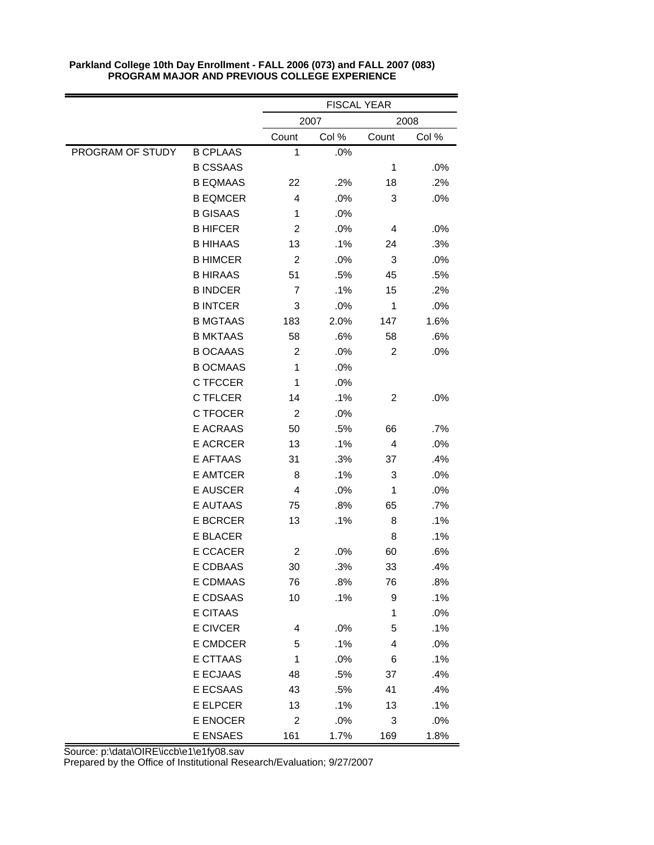|                  |                 |                  | <b>FISCAL YEAR</b> |                |        |
|------------------|-----------------|------------------|--------------------|----------------|--------|
|                  |                 |                  | 2007               |                | 2008   |
|                  |                 | Count            | Col %              | Count          | Col %  |
| PROGRAM OF STUDY | <b>B CPLAAS</b> | 1                | .0%                |                |        |
|                  | <b>B CSSAAS</b> |                  |                    | 1              | .0%    |
|                  | <b>B EQMAAS</b> | 22               | .2%                | 18             | .2%    |
|                  | <b>B EQMCER</b> | 4                | .0%                | 3              | .0%    |
|                  | <b>B GISAAS</b> | 1                | .0%                |                |        |
|                  | <b>B HIFCER</b> | $\overline{c}$   | .0%                | 4              | .0%    |
|                  | <b>B HIHAAS</b> | 13               | .1%                | 24             | .3%    |
|                  | <b>B HIMCER</b> | $\boldsymbol{2}$ | .0%                | 3              | .0%    |
|                  | <b>B HIRAAS</b> | 51               | .5%                | 45             | .5%    |
|                  | <b>B INDCER</b> | 7                | .1%                | 15             | .2%    |
|                  | <b>B INTCER</b> | 3                | .0%                | $\mathbf 1$    | .0%    |
|                  | <b>B MGTAAS</b> | 183              | 2.0%               | 147            | 1.6%   |
|                  | <b>B MKTAAS</b> | 58               | .6%                | 58             | .6%    |
|                  | <b>B OCAAAS</b> | 2                | .0%                | $\overline{c}$ | .0%    |
|                  | <b>B OCMAAS</b> | 1                | .0%                |                |        |
|                  | C TFCCER        | 1                | .0%                |                |        |
|                  | C TFLCER        | 14               | .1%                | $\overline{c}$ | .0%    |
|                  | C TFOCER        | $\boldsymbol{2}$ | .0%                |                |        |
|                  | E ACRAAS        | 50               | .5%                | 66             | .7%    |
|                  | <b>E ACRCER</b> | 13               | .1%                | 4              | .0%    |
|                  | E AFTAAS        | 31               | .3%                | 37             | .4%    |
|                  | <b>E AMTCER</b> | 8                | .1%                | 3              | .0%    |
|                  | <b>E AUSCER</b> | 4                | .0%                | 1              | .0%    |
|                  | E AUTAAS        | 75               | .8%                | 65             | .7%    |
|                  | <b>E BCRCER</b> | 13               | .1%                | 8              | .1%    |
|                  | <b>E BLACER</b> |                  |                    | 8              | .1%    |
|                  | E CCACER        | $\overline{c}$   | .0%                | 60             | .6%    |
|                  | E CDBAAS        | 30               | .3%                | 33             | .4%    |
|                  | E CDMAAS        | 76               | .8%                | 76             | .8%    |
|                  | E CDSAAS        | 10               | .1%                | 9              | .1%    |
|                  | E CITAAS        |                  |                    | 1              | .0%    |
|                  | E CIVCER        | 4                | .0%                | 5              | .1%    |
|                  | E CMDCER        | 5                | .1%                | 4              | .0%    |
|                  | E CTTAAS        | 1                | .0%                | 6              | .1%    |
|                  | E ECJAAS        | 48               | .5%                | 37             | .4%    |
|                  | E ECSAAS        | 43               | .5%                | 41             | .4%    |
|                  | E ELPCER        | 13               | .1%                | 13             | .1%    |
|                  | E ENOCER        | $\boldsymbol{2}$ | .0%                | 3              | $.0\%$ |
|                  | E ENSAES        | 161              | 1.7%               | 169            | 1.8%   |

Source: p:\data\OIRE\iccb\e1\e1fy08.sav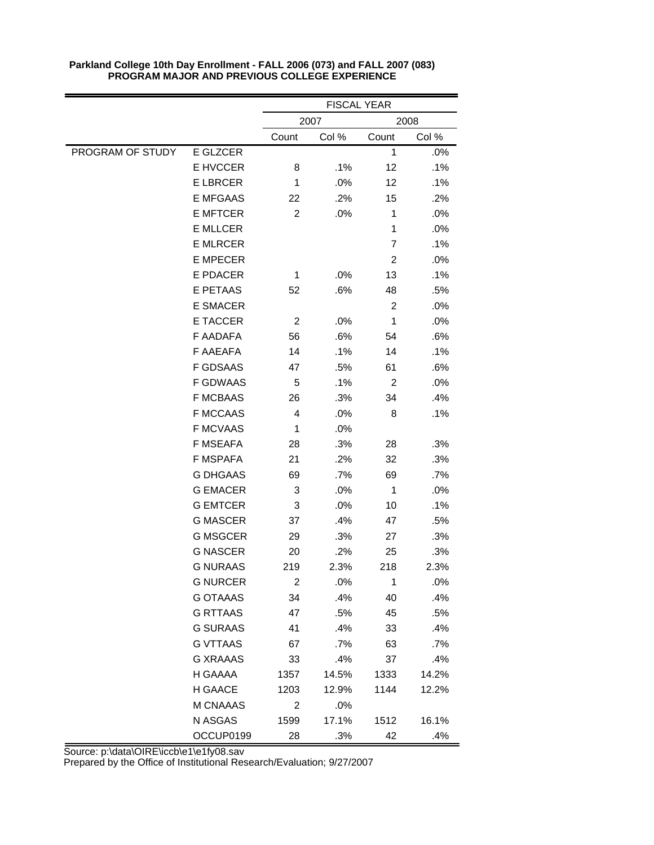|                  |                 | <b>FISCAL YEAR</b>      |       |                |       |
|------------------|-----------------|-------------------------|-------|----------------|-------|
|                  |                 | 2007<br>2008            |       |                |       |
|                  |                 | Count                   | Col % | Count          | Col % |
| PROGRAM OF STUDY | E GLZCER        |                         |       | 1              | .0%   |
|                  | E HVCCER        | 8                       | .1%   | 12             | .1%   |
|                  | <b>E LBRCER</b> | 1                       | .0%   | 12             | .1%   |
|                  | <b>E MFGAAS</b> | 22                      | .2%   | 15             | .2%   |
|                  | <b>E MFTCER</b> | $\overline{\mathbf{c}}$ | .0%   | 1              | .0%   |
|                  | <b>E MLLCER</b> |                         |       | 1              | .0%   |
|                  | <b>E MLRCER</b> |                         |       | $\overline{7}$ | .1%   |
|                  | <b>E MPECER</b> |                         |       | $\overline{c}$ | .0%   |
|                  | E PDACER        | 1                       | .0%   | 13             | .1%   |
|                  | E PETAAS        | 52                      | .6%   | 48             | .5%   |
|                  | <b>E SMACER</b> |                         |       | $\overline{c}$ | .0%   |
|                  | <b>E TACCER</b> | $\overline{c}$          | .0%   | 1              | .0%   |
|                  | F AADAFA        | 56                      | .6%   | 54             | .6%   |
|                  | F AAEAFA        | 14                      | .1%   | 14             | .1%   |
|                  | <b>F GDSAAS</b> | 47                      | .5%   | 61             | .6%   |
|                  | <b>F GDWAAS</b> | 5                       | .1%   | $\overline{c}$ | .0%   |
|                  | <b>F MCBAAS</b> | 26                      | .3%   | 34             | .4%   |
|                  | <b>F MCCAAS</b> | 4                       | .0%   | 8              | .1%   |
|                  | <b>F MCVAAS</b> | $\mathbf{1}$            | .0%   |                |       |
|                  | <b>F MSEAFA</b> | 28                      | .3%   | 28             | .3%   |
|                  | <b>F MSPAFA</b> | 21                      | .2%   | 32             | .3%   |
|                  | <b>G DHGAAS</b> | 69                      | .7%   | 69             | .7%   |
|                  | <b>G EMACER</b> | 3                       | .0%   | $\mathbf 1$    | .0%   |
|                  | <b>G EMTCER</b> | 3                       | .0%   | 10             | .1%   |
|                  | <b>G MASCER</b> | 37                      | .4%   | 47             | .5%   |
|                  | <b>G MSGCER</b> | 29                      | .3%   | 27             | .3%   |
|                  | <b>G NASCER</b> | 20                      | .2%   | 25             | .3%   |
|                  | <b>G NURAAS</b> | 219                     | 2.3%  | 218            | 2.3%  |
|                  | <b>G NURCER</b> | 2                       | .0%   | 1              | .0%   |
|                  | <b>G OTAAAS</b> | 34                      | .4%   | 40             | .4%   |
|                  | <b>G RTTAAS</b> | 47                      | .5%   | 45             | .5%   |
|                  | <b>G SURAAS</b> | 41                      | .4%   | 33             | .4%   |
|                  | <b>G VTTAAS</b> | 67                      | .7%   | 63             | .7%   |
|                  | <b>G XRAAAS</b> | 33                      | .4%   | 37             | .4%   |
|                  | H GAAAA         | 1357                    | 14.5% | 1333           | 14.2% |
|                  | H GAACE         | 1203                    | 12.9% | 1144           | 12.2% |
|                  | M CNAAAS        | 2                       | .0%   |                |       |
|                  | N ASGAS         | 1599                    | 17.1% | 1512           | 16.1% |
|                  | OCCUP0199       | 28                      | .3%   | 42             | .4%   |

Source: p:\data\OIRE\iccb\e1\e1fy08.sav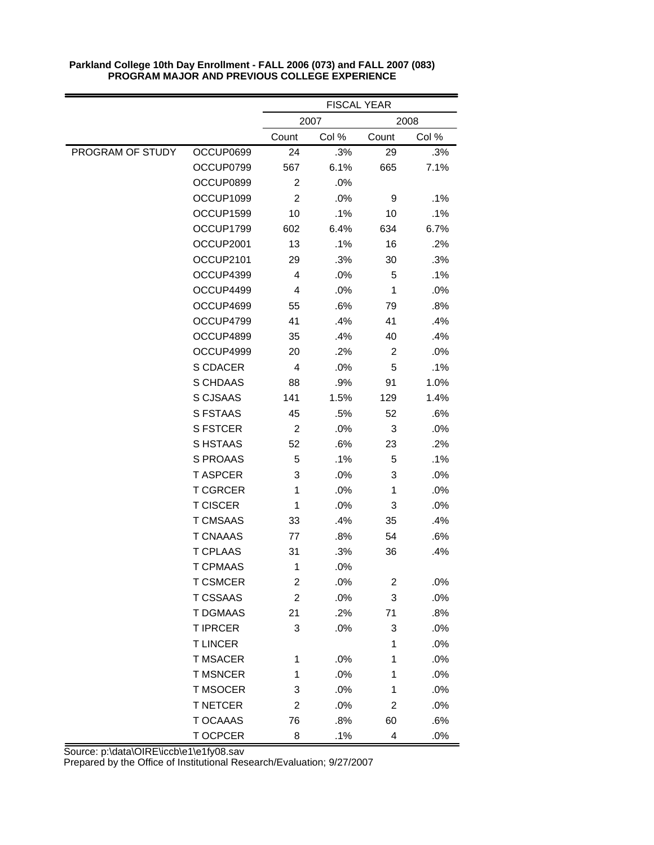|                  |                 | <b>FISCAL YEAR</b> |       |                |       |
|------------------|-----------------|--------------------|-------|----------------|-------|
|                  |                 | 2007<br>2008       |       |                |       |
|                  |                 | Count              | Col % | Count          | Col % |
| PROGRAM OF STUDY | OCCUP0699       | 24                 | .3%   | 29             | .3%   |
|                  | OCCUP0799       | 567                | 6.1%  | 665            | 7.1%  |
|                  | OCCUP0899       | $\overline{c}$     | .0%   |                |       |
|                  | OCCUP1099       | $\overline{c}$     | .0%   | 9              | .1%   |
|                  | OCCUP1599       | 10                 | .1%   | 10             | .1%   |
|                  | OCCUP1799       | 602                | 6.4%  | 634            | 6.7%  |
|                  | OCCUP2001       | 13                 | .1%   | 16             | .2%   |
|                  | OCCUP2101       | 29                 | .3%   | 30             | .3%   |
|                  | OCCUP4399       | 4                  | .0%   | 5              | .1%   |
|                  | OCCUP4499       | 4                  | .0%   | 1              | .0%   |
|                  | OCCUP4699       | 55                 | .6%   | 79             | .8%   |
|                  | OCCUP4799       | 41                 | .4%   | 41             | .4%   |
|                  | OCCUP4899       | 35                 | .4%   | 40             | .4%   |
|                  | OCCUP4999       | 20                 | .2%   | $\overline{c}$ | .0%   |
|                  | S CDACER        | $\overline{4}$     | .0%   | 5              | .1%   |
|                  | S CHDAAS        | 88                 | .9%   | 91             | 1.0%  |
|                  | S CJSAAS        | 141                | 1.5%  | 129            | 1.4%  |
|                  | S FSTAAS        | 45                 | .5%   | 52             | .6%   |
|                  | S FSTCER        | $\overline{c}$     | .0%   | 3              | .0%   |
|                  | S HSTAAS        | 52                 | .6%   | 23             | .2%   |
|                  | S PROAAS        | 5                  | .1%   | 5              | .1%   |
|                  | <b>T ASPCER</b> | 3                  | .0%   | 3              | .0%   |
|                  | <b>T CGRCER</b> | 1                  | .0%   | $\mathbf{1}$   | .0%   |
|                  | <b>T CISCER</b> | $\mathbf{1}$       | .0%   | 3              | .0%   |
|                  | <b>T CMSAAS</b> | 33                 | .4%   | 35             | .4%   |
|                  | <b>T CNAAAS</b> | 77                 | .8%   | 54             | .6%   |
|                  | <b>T CPLAAS</b> | 31                 | .3%   | 36             | .4%   |
|                  | <b>T CPMAAS</b> | 1                  | .0%   |                |       |
|                  | <b>T CSMCER</b> | 2                  | .0%   | $\overline{c}$ | .0%   |
|                  | <b>T CSSAAS</b> | $\overline{c}$     | .0%   | 3              | .0%   |
|                  | <b>T DGMAAS</b> | 21                 | .2%   | 71             | .8%   |
|                  | <b>T IPRCER</b> | 3                  | .0%   | 3              | .0%   |
|                  | <b>T LINCER</b> |                    |       | 1              | .0%   |
|                  | <b>T MSACER</b> | 1                  | .0%   | 1              | .0%   |
|                  | <b>T MSNCER</b> | 1                  | .0%   | 1              | .0%   |
|                  | T MSOCER        | 3                  | .0%   | 1              | .0%   |
|                  | <b>T NETCER</b> | 2                  | .0%   | 2              | .0%   |
|                  | T OCAAAS        | 76                 | .8%   | 60             | .6%   |
|                  | T OCPCER        | 8                  | .1%   | 4              | .0%   |

Source: p:\data\OIRE\iccb\e1\e1fy08.sav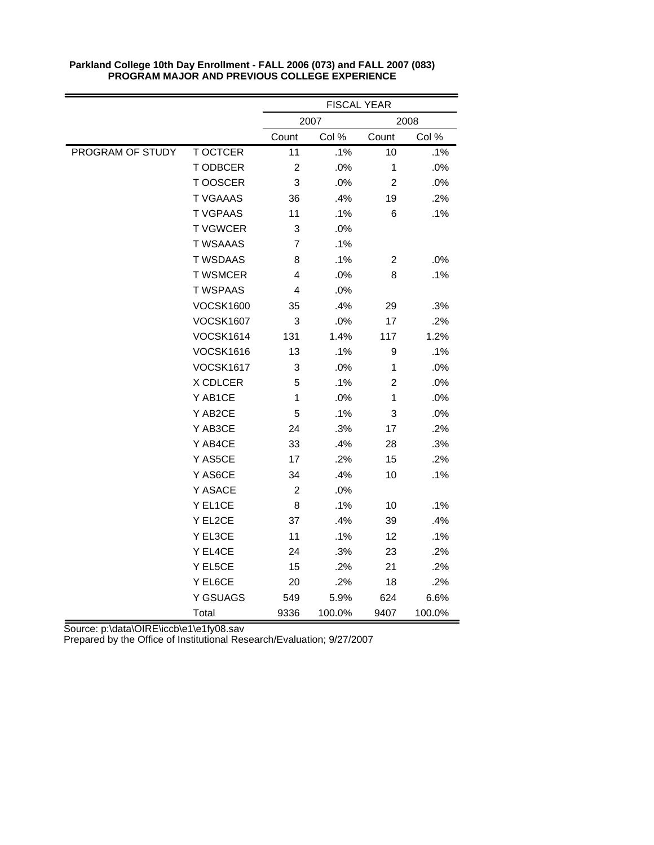|                  |                  | <b>FISCAL YEAR</b> |        |                         |        |
|------------------|------------------|--------------------|--------|-------------------------|--------|
|                  |                  | 2007<br>2008       |        |                         |        |
|                  |                  | Count              | Col %  | Count                   | Col %  |
| PROGRAM OF STUDY | <b>T OCTCER</b>  | 11                 | .1%    | 10                      | .1%    |
|                  | T ODBCER         | $\boldsymbol{2}$   | .0%    | $\mathbf{1}$            | .0%    |
|                  | T OOSCER         | 3                  | .0%    | $\overline{c}$          | .0%    |
|                  | <b>T VGAAAS</b>  | 36                 | .4%    | 19                      | .2%    |
|                  | <b>T VGPAAS</b>  | 11                 | .1%    | 6                       | .1%    |
|                  | <b>T VGWCER</b>  | 3                  | .0%    |                         |        |
|                  | <b>T WSAAAS</b>  | 7                  | .1%    |                         |        |
|                  | <b>T WSDAAS</b>  | 8                  | .1%    | $\overline{\mathbf{c}}$ | .0%    |
|                  | <b>T WSMCER</b>  | 4                  | .0%    | 8                       | .1%    |
|                  | <b>T WSPAAS</b>  | 4                  | .0%    |                         |        |
|                  | <b>VOCSK1600</b> | 35                 | .4%    | 29                      | .3%    |
|                  | <b>VOCSK1607</b> | 3                  | .0%    | 17                      | .2%    |
|                  | <b>VOCSK1614</b> | 131                | 1.4%   | 117                     | 1.2%   |
|                  | <b>VOCSK1616</b> | 13                 | .1%    | 9                       | .1%    |
|                  | <b>VOCSK1617</b> | 3                  | .0%    | 1                       | .0%    |
|                  | X CDLCER         | 5                  | .1%    | $\overline{c}$          | .0%    |
|                  | Y AB1CE          | $\mathbf 1$        | .0%    | $\mathbf{1}$            | .0%    |
|                  | Y AB2CE          | 5                  | .1%    | 3                       | .0%    |
|                  | Y AB3CE          | 24                 | .3%    | 17                      | .2%    |
|                  | Y AB4CE          | 33                 | .4%    | 28                      | .3%    |
|                  | Y AS5CE          | 17                 | .2%    | 15                      | .2%    |
|                  | Y AS6CE          | 34                 | .4%    | 10                      | .1%    |
|                  | Y ASACE          | $\overline{c}$     | .0%    |                         |        |
|                  | Y EL1CE          | 8                  | .1%    | 10                      | .1%    |
|                  | Y EL2CE          | 37                 | .4%    | 39                      | .4%    |
|                  | Y EL3CE          | 11                 | .1%    | 12                      | .1%    |
|                  | Y EL4CE          | 24                 | .3%    | 23                      | .2%    |
|                  | Y EL5CE          | 15                 | .2%    | 21                      | .2%    |
|                  | Y EL6CE          | 20                 | .2%    | 18                      | .2%    |
|                  | Y GSUAGS         | 549                | 5.9%   | 624                     | 6.6%   |
|                  | Total            | 9336               | 100.0% | 9407                    | 100.0% |

Source: p:\data\OIRE\iccb\e1\e1fy08.sav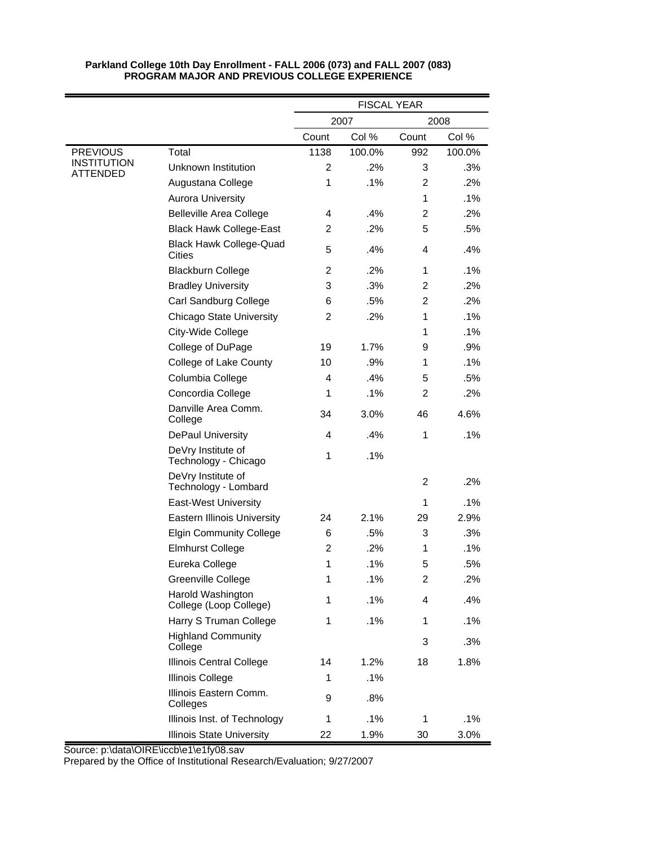|                                |                                             | <b>FISCAL YEAR</b>      |        |                         |        |
|--------------------------------|---------------------------------------------|-------------------------|--------|-------------------------|--------|
|                                |                                             |                         | 2007   |                         | 2008   |
|                                |                                             | Count                   | Col %  | Count                   | Col %  |
| <b>PREVIOUS</b>                | Total                                       | 1138                    | 100.0% | 992                     | 100.0% |
| <b>INSTITUTION</b><br>ATTENDED | <b>Unknown Institution</b>                  | $\overline{c}$          | .2%    | 3                       | .3%    |
|                                | Augustana College                           | 1                       | .1%    | $\overline{2}$          | .2%    |
|                                | <b>Aurora University</b>                    |                         |        | $\mathbf{1}$            | .1%    |
|                                | <b>Belleville Area College</b>              | 4                       | .4%    | 2                       | .2%    |
|                                | <b>Black Hawk College-East</b>              | $\overline{c}$          | .2%    | 5                       | .5%    |
|                                | <b>Black Hawk College-Quad</b><br>Cities    | 5                       | .4%    | 4                       | .4%    |
|                                | <b>Blackburn College</b>                    | $\overline{\mathbf{c}}$ | .2%    | $\mathbf{1}$            | .1%    |
|                                | <b>Bradley University</b>                   | 3                       | .3%    | $\overline{c}$          | .2%    |
|                                | Carl Sandburg College                       | 6                       | .5%    | $\overline{c}$          | .2%    |
|                                | <b>Chicago State University</b>             | $\overline{c}$          | .2%    | 1                       | .1%    |
|                                | City-Wide College                           |                         |        | 1                       | .1%    |
|                                | College of DuPage                           | 19                      | 1.7%   | 9                       | .9%    |
|                                | College of Lake County                      | 10                      | .9%    | 1                       | .1%    |
|                                | Columbia College                            | 4                       | .4%    | 5                       | .5%    |
|                                | Concordia College                           | 1                       | .1%    | $\overline{c}$          | .2%    |
|                                | Danville Area Comm.<br>College              | 34                      | 3.0%   | 46                      | 4.6%   |
|                                | <b>DePaul University</b>                    | 4                       | .4%    | 1                       | .1%    |
|                                | DeVry Institute of<br>Technology - Chicago  | 1                       | .1%    |                         |        |
|                                | DeVry Institute of<br>Technology - Lombard  |                         |        | $\overline{c}$          | .2%    |
|                                | <b>East-West University</b>                 |                         |        | 1                       | .1%    |
|                                | <b>Eastern Illinois University</b>          | 24                      | 2.1%   | 29                      | 2.9%   |
|                                | <b>Elgin Community College</b>              | 6                       | .5%    | 3                       | .3%    |
|                                | <b>Elmhurst College</b>                     | $\overline{c}$          | .2%    | 1                       | .1%    |
|                                | Eureka College                              | 1                       | .1%    | 5                       | .5%    |
|                                | Greenville College                          | 1                       | .1%    | $\overline{\mathbf{c}}$ | .2%    |
|                                | Harold Washington<br>College (Loop College) | 1                       | .1%    | 4                       | .4%    |
|                                | Harry S Truman College                      | 1                       | .1%    | 1                       | .1%    |
|                                | <b>Highland Community</b><br>College        |                         |        | 3                       | .3%    |
|                                | <b>Illinois Central College</b>             | 14                      | 1.2%   | 18                      | 1.8%   |
|                                | Illinois College                            | 1                       | .1%    |                         |        |
|                                | Illinois Eastern Comm.<br>Colleges          | 9                       | .8%    |                         |        |
|                                | Illinois Inst. of Technology                | 1                       | .1%    | 1                       | .1%    |
|                                | <b>Illinois State University</b>            | 22                      | 1.9%   | 30                      | 3.0%   |

Source: p:\data\OIRE\iccb\e1\e1fy08.sav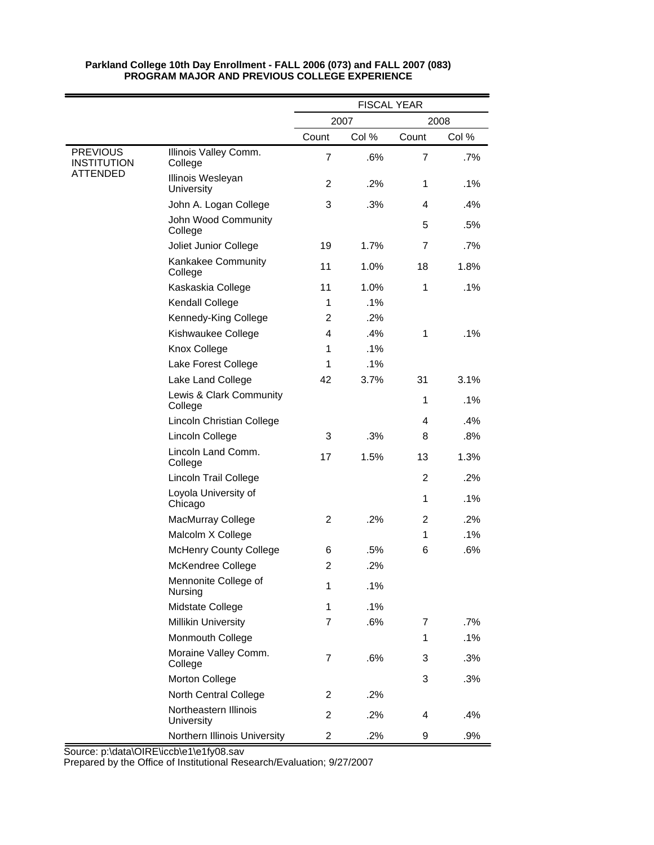|                                       |                                        | <b>FISCAL YEAR</b>      |       |                |            |
|---------------------------------------|----------------------------------------|-------------------------|-------|----------------|------------|
|                                       |                                        |                         | 2007  |                | 2008       |
|                                       |                                        | Count                   | Col % | Count          | Col %      |
| <b>PREVIOUS</b><br><b>INSTITUTION</b> | Illinois Valley Comm.<br>College       | $\overline{7}$          | .6%   | $\overline{7}$ | .7%        |
| ATTENDED                              | Illinois Wesleyan<br>University        | $\overline{2}$          | .2%   | 1              | .1%        |
|                                       | John A. Logan College                  | 3                       | .3%   | 4              | .4%        |
|                                       | John Wood Community<br>College         |                         |       | 5              | .5%        |
|                                       | Joliet Junior College                  | 19                      | 1.7%  | $\overline{7}$ | .7%        |
|                                       | Kankakee Community<br>College          | 11                      | 1.0%  | 18             | 1.8%       |
|                                       | Kaskaskia College                      | 11                      | 1.0%  | 1              | .1%        |
|                                       | Kendall College                        | 1                       | .1%   |                |            |
|                                       | Kennedy-King College                   | 2                       | .2%   |                |            |
|                                       | Kishwaukee College                     | 4                       | .4%   | 1              | .1%        |
|                                       | Knox College                           | 1                       | .1%   |                |            |
|                                       | Lake Forest College                    | 1                       | .1%   |                |            |
|                                       | Lake Land College                      | 42                      | 3.7%  | 31             | 3.1%       |
|                                       | Lewis & Clark Community<br>College     |                         |       | 1              | .1%        |
|                                       | Lincoln Christian College              |                         |       | 4              | .4%        |
|                                       | Lincoln College                        | 3                       | .3%   | 8              | .8%        |
|                                       | Lincoln Land Comm.<br>College          | 17                      | 1.5%  | 13             | 1.3%       |
|                                       | <b>Lincoln Trail College</b>           |                         |       | 2              | .2%        |
|                                       | Loyola University of<br>Chicago        |                         |       | 1              | .1%        |
|                                       | MacMurray College<br>Malcolm X College | 2                       | .2%   | 2<br>1         | .2%<br>.1% |
|                                       | <b>McHenry County College</b>          | 6                       | .5%   | 6              | .6%        |
|                                       | McKendree College                      | $\overline{c}$          | .2%   |                |            |
|                                       | Mennonite College of<br>Nursing        | 1                       | .1%   |                |            |
|                                       | Midstate College                       | 1                       | .1%   |                |            |
|                                       | <b>Millikin University</b>             | $\overline{7}$          | .6%   | 7              | .7%        |
|                                       | Monmouth College                       |                         |       | 1              | .1%        |
|                                       | Moraine Valley Comm.<br>College        | $\overline{7}$          | .6%   | 3              | .3%        |
|                                       | Morton College                         |                         |       | 3              | .3%        |
|                                       | North Central College                  | 2                       | .2%   |                |            |
|                                       | Northeastern Illinois<br>University    | 2                       | .2%   | 4              | .4%        |
|                                       | Northern Illinois University           | $\overline{\mathbf{c}}$ | .2%   | 9              | .9%        |

Source: p:\data\OIRE\iccb\e1\e1fy08.sav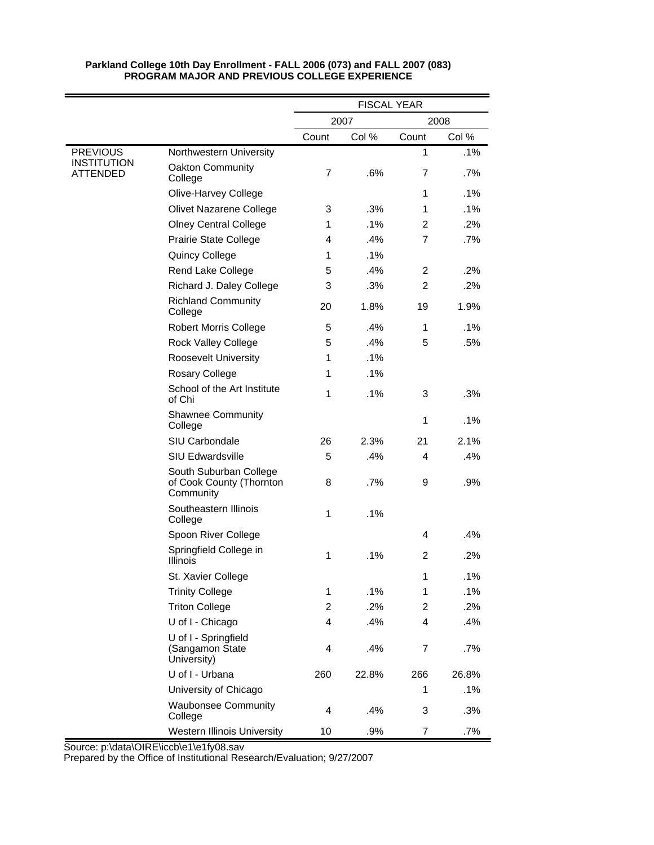|                                |                                                                 | <b>FISCAL YEAR</b> |       |                |       |
|--------------------------------|-----------------------------------------------------------------|--------------------|-------|----------------|-------|
|                                |                                                                 |                    | 2007  |                | 2008  |
|                                |                                                                 | Count              | Col % | Count          | Col % |
| <b>PREVIOUS</b>                | Northwestern University                                         |                    |       | 1              | .1%   |
| <b>INSTITUTION</b><br>ATTENDED | <b>Oakton Community</b><br>College                              | 7                  | .6%   | 7              | .7%   |
|                                | Olive-Harvey College                                            |                    |       | 1              | .1%   |
|                                | Olivet Nazarene College                                         | 3                  | .3%   | 1              | .1%   |
|                                | <b>Olney Central College</b>                                    | 1                  | .1%   | 2              | .2%   |
|                                | <b>Prairie State College</b>                                    | 4                  | .4%   | $\overline{7}$ | .7%   |
|                                | Quincy College                                                  | 1                  | .1%   |                |       |
|                                | Rend Lake College                                               | 5                  | .4%   | $\overline{c}$ | .2%   |
|                                | Richard J. Daley College                                        | 3                  | .3%   | $\overline{2}$ | .2%   |
|                                | <b>Richland Community</b><br>College                            | 20                 | 1.8%  | 19             | 1.9%  |
|                                | <b>Robert Morris College</b>                                    | 5                  | .4%   | 1              | .1%   |
|                                | <b>Rock Valley College</b>                                      | 5                  | .4%   | 5              | .5%   |
|                                | <b>Roosevelt University</b>                                     | 1                  | .1%   |                |       |
|                                | Rosary College                                                  | 1                  | .1%   |                |       |
|                                | School of the Art Institute<br>of Chi                           | 1                  | .1%   | 3              | .3%   |
|                                | <b>Shawnee Community</b><br>College                             |                    |       | 1              | .1%   |
|                                | SIU Carbondale                                                  | 26                 | 2.3%  | 21             | 2.1%  |
|                                | <b>SIU Edwardsville</b>                                         | 5                  | .4%   | 4              | .4%   |
|                                | South Suburban College<br>of Cook County (Thornton<br>Community | 8                  | .7%   | 9              | .9%   |
|                                | Southeastern Illinois<br>College                                | 1                  | .1%   |                |       |
|                                | Spoon River College                                             |                    |       | 4              | .4%   |
|                                | Springfield College in<br><b>Illinois</b>                       | 1                  | .1%   | 2              | .2%   |
|                                | St. Xavier College                                              |                    |       | 1              | 1%    |
|                                | <b>Trinity College</b>                                          | 1                  | .1%   | 1              | .1%   |
|                                | <b>Triton College</b>                                           | $\boldsymbol{2}$   | .2%   | 2              | .2%   |
|                                | U of I - Chicago                                                | 4                  | .4%   | 4              | .4%   |
|                                | U of I - Springfield<br>(Sangamon State<br>University)          | 4                  | .4%   | 7              | .7%   |
|                                | U of I - Urbana                                                 | 260                | 22.8% | 266            | 26.8% |
|                                | University of Chicago                                           |                    |       | 1              | .1%   |
|                                | <b>Waubonsee Community</b><br>College                           | 4                  | .4%   | 3              | .3%   |
|                                | Western Illinois University                                     | 10                 | .9%   | $\overline{7}$ | .7%   |

Source: p:\data\OIRE\iccb\e1\e1fy08.sav